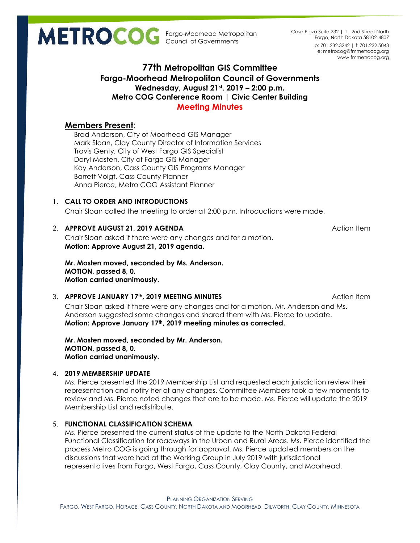Fargo-Moorhead Metropolitan Council of Governments

p: 701.232.3242 | f: 701.232.5043 e: metrocog@fmmetrocog.org www.fmmetrocog.org Case Plaza Suite 232 | 1 - 2nd Street North Fargo, North Dakota 58102-4807

# **77th Metropolitan GIS Committee Fargo-Moorhead Metropolitan Council of Governments Wednesday, August 21st, 2019 – 2:00 p.m. Metro COG Conference Room | Civic Center Building Meeting Minutes**

# **Members Present**:

Brad Anderson, City of Moorhead GIS Manager Mark Sloan, Clay County Director of Information Services Travis Genty, City of West Fargo GIS Specialist Daryl Masten, City of Fargo GIS Manager Kay Anderson, Cass County GIS Programs Manager Barrett Voigt, Cass County Planner Anna Pierce, Metro COG Assistant Planner

# 1. **CALL TO ORDER AND INTRODUCTIONS**

Chair Sloan called the meeting to order at 2:00 p.m. Introductions were made.

# 2. **APPROVE AUGUST 21, 2019 AGENDA Action Item** Action Item

Chair Sloan asked if there were any changes and for a motion. **Motion: Approve August 21, 2019 agenda.**

**Mr. Masten moved, seconded by Ms. Anderson. MOTION, passed 8, 0. Motion carried unanimously.**

## 3. **APPROVE JANUARY 17th, 2019 MEETING MINUTES** Action Item

Chair Sloan asked if there were any changes and for a motion. Mr. Anderson and Ms. Anderson suggested some changes and shared them with Ms. Pierce to update. **Motion: Approve January 17th, 2019 meeting minutes as corrected.**

**Mr. Masten moved, seconded by Mr. Anderson. MOTION, passed 8, 0. Motion carried unanimously.**

## 4. **2019 MEMBERSHIP UPDATE**

Ms. Pierce presented the 2019 Membership List and requested each jurisdiction review their representation and notify her of any changes. Committee Members took a few moments to review and Ms. Pierce noted changes that are to be made. Ms. Pierce will update the 2019 Membership List and redistribute.

# 5. **FUNCTIONAL CLASSIFICATION SCHEMA**

Ms. Pierce presented the current status of the update to the North Dakota Federal Functional Classification for roadways in the Urban and Rural Areas. Ms. Pierce identified the process Metro COG is going through for approval. Ms. Pierce updated members on the discussions that were had at the Working Group in July 2019 with jurisdictional representatives from Fargo, West Fargo, Cass County, Clay County, and Moorhead.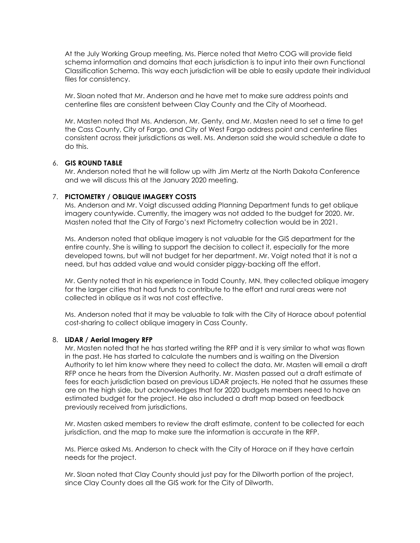At the July Working Group meeting, Ms. Pierce noted that Metro COG will provide field schema information and domains that each jurisdiction is to input into their own Functional Classification Schema. This way each jurisdiction will be able to easily update their individual files for consistency.

Mr. Sloan noted that Mr. Anderson and he have met to make sure address points and centerline files are consistent between Clay County and the City of Moorhead.

Mr. Masten noted that Ms. Anderson, Mr. Genty, and Mr. Masten need to set a time to get the Cass County, City of Fargo, and City of West Fargo address point and centerline files consistent across their jurisdictions as well. Ms. Anderson said she would schedule a date to do this.

#### 6. **GIS ROUND TABLE**

Mr. Anderson noted that he will follow up with Jim Mertz at the North Dakota Conference and we will discuss this at the January 2020 meeting.

#### 7. **PICTOMETRY / OBLIQUE IMAGERY COSTS**

Ms. Anderson and Mr. Voigt discussed adding Planning Department funds to get oblique imagery countywide. Currently, the imagery was not added to the budget for 2020. Mr. Masten noted that the City of Fargo's next Pictometry collection would be in 2021.

Ms. Anderson noted that oblique imagery is not valuable for the GIS department for the entire county. She is willing to support the decision to collect it, especially for the more developed towns, but will not budget for her department. Mr. Voigt noted that it is not a need, but has added value and would consider piggy-backing off the effort.

Mr. Genty noted that in his experience in Todd County, MN, they collected oblique imagery for the larger cities that had funds to contribute to the effort and rural areas were not collected in oblique as it was not cost effective.

Ms. Anderson noted that it may be valuable to talk with the City of Horace about potential cost-sharing to collect oblique imagery in Cass County.

#### 8. **LiDAR / Aerial Imagery RFP**

Mr. Masten noted that he has started writing the RFP and it is very similar to what was flown in the past. He has started to calculate the numbers and is waiting on the Diversion Authority to let him know where they need to collect the data. Mr. Masten will email a draft RFP once he hears from the Diversion Authority. Mr. Masten passed out a draft estimate of fees for each jurisdiction based on previous LiDAR projects. He noted that he assumes these are on the high side, but acknowledges that for 2020 budgets members need to have an estimated budget for the project. He also included a draft map based on feedback previously received from jurisdictions.

Mr. Masten asked members to review the draft estimate, content to be collected for each jurisdiction, and the map to make sure the information is accurate in the RFP.

Ms. Pierce asked Ms. Anderson to check with the City of Horace on if they have certain needs for the project.

Mr. Sloan noted that Clay County should just pay for the Dilworth portion of the project, since Clay County does all the GIS work for the City of Dilworth.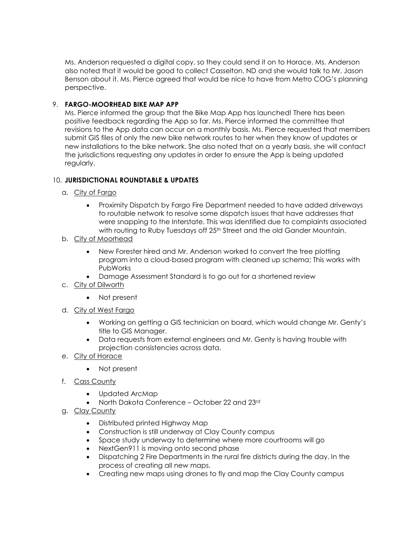Ms. Anderson requested a digital copy, so they could send it on to Horace. Ms. Anderson also noted that it would be good to collect Casselton, ND and she would talk to Mr. Jason Benson about it. Ms. Pierce agreed that would be nice to have from Metro COG's planning perspective.

## 9. **FARGO-MOORHEAD BIKE MAP APP**

Ms. Pierce informed the group that the Bike Map App has launched! There has been positive feedback regarding the App so far. Ms. Pierce informed the committee that revisions to the App data can occur on a monthly basis. Ms. Pierce requested that members submit GIS files of only the new bike network routes to her when they know of updates or new installations to the bike network. She also noted that on a yearly basis, she will contact the jurisdictions requesting any updates in order to ensure the App is being updated regularly.

## 10. **JURISDICTIONAL ROUNDTABLE & UPDATES**

- a. City of Fargo
	- Proximity Dispatch by Fargo Fire Department needed to have added driveways to routable network to resolve some dispatch issues that have addresses that were snapping to the Interstate. This was identified due to complaints associated with routing to Ruby Tuesdays off 25<sup>th</sup> Street and the old Gander Mountain.
- b. City of Moorhead
	- New Forester hired and Mr. Anderson worked to convert the tree plotting program into a cloud-based program with cleaned up schema; This works with PubWorks
	- Damage Assessment Standard is to go out for a shortened review
- c. City of Dilworth
	- Not present
- d. City of West Fargo
	- Working on getting a GIS technician on board, which would change Mr. Genty's title to GIS Manager.
	- Data requests from external engineers and Mr. Genty is having trouble with projection consistencies across data.
- e. City of Horace
	- Not present
- f. Cass County
	- Updated ArcMap
	- North Dakota Conference October 22 and 23rd
- g. Clay County
	- Distributed printed Highway Map
	- Construction is still underway at Clay County campus
	- Space study underway to determine where more courtrooms will go
	- NextGen911 is moving onto second phase
	- Dispatching 2 Fire Departments in the rural fire districts during the day. In the process of creating all new maps.
	- Creating new maps using drones to fly and map the Clay County campus